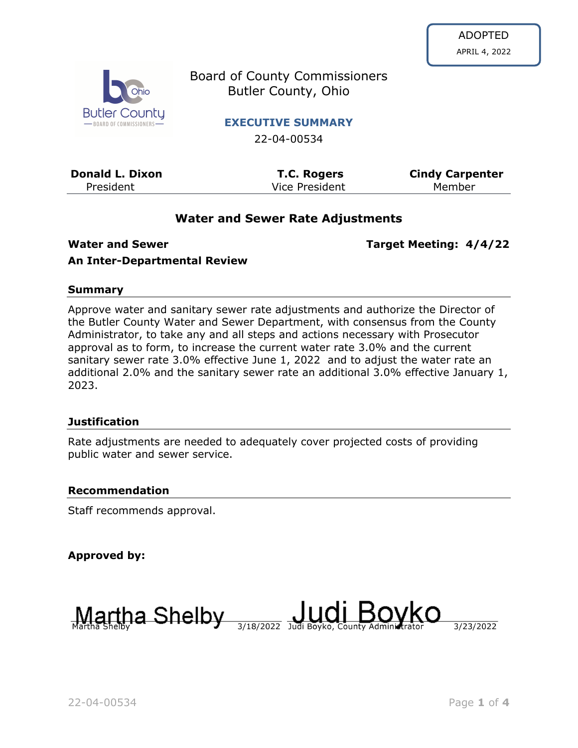

Board of County Commissioners Butler County, Ohio

**EXECUTIVE SUMMARY**

22-04-00534

| <b>Donald L. Dixon</b> | <b>T.C. Rogers</b> | <b>Cindy Carpenter</b> |
|------------------------|--------------------|------------------------|
| President              | Vice President     | Member                 |

## **Water and Sewer Rate Adjustments**

**Water and Sewer Target Meeting: 4/4/22**

## **An Inter-Departmental Review**

#### **Summary**

Approve water and sanitary sewer rate adjustments and authorize the Director of the Butler County Water and Sewer Department, with consensus from the County Administrator, to take any and all steps and actions necessary with Prosecutor approval as to form, to increase the current water rate 3.0% and the current sanitary sewer rate 3.0% effective June 1, 2022 and to adjust the water rate an additional 2.0% and the sanitary sewer rate an additional 3.0% effective January 1, 2023.

### **Justification**

Rate adjustments are needed to adequately cover projected costs of providing public water and sewer service.

#### **Recommendation**

Staff recommends approval.

**Approved by:**

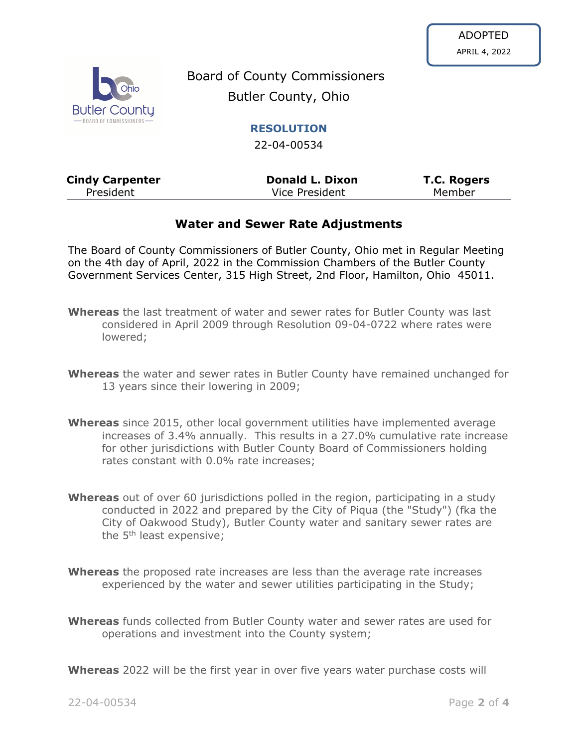

Board of County Commissioners Butler County, Ohio

**RESOLUTION**

22-04-00534

| <b>Cindy Carpenter</b> | <b>Donald L. Dixon</b> | <b>T.C. Rogers</b> |
|------------------------|------------------------|--------------------|
| President              | Vice President         | Member             |

# **Water and Sewer Rate Adjustments**

The Board of County Commissioners of Butler County, Ohio met in Regular Meeting on the 4th day of April, 2022 in the Commission Chambers of the Butler County Government Services Center, 315 High Street, 2nd Floor, Hamilton, Ohio 45011.

- **Whereas** the last treatment of water and sewer rates for Butler County was last considered in April 2009 through Resolution 09-04-0722 where rates were lowered;
- **Whereas** the water and sewer rates in Butler County have remained unchanged for 13 years since their lowering in 2009;
- **Whereas** since 2015, other local government utilities have implemented average increases of 3.4% annually. This results in a 27.0% cumulative rate increase for other jurisdictions with Butler County Board of Commissioners holding rates constant with 0.0% rate increases;
- **Whereas** out of over 60 jurisdictions polled in the region, participating in a study conducted in 2022 and prepared by the City of Piqua (the "Study") (fka the City of Oakwood Study), Butler County water and sanitary sewer rates are the 5<sup>th</sup> least expensive;
- **Whereas** the proposed rate increases are less than the average rate increases experienced by the water and sewer utilities participating in the Study;
- **Whereas** funds collected from Butler County water and sewer rates are used for operations and investment into the County system;

**Whereas** 2022 will be the first year in over five years water purchase costs will

22-04-00534 Page **2** of **4**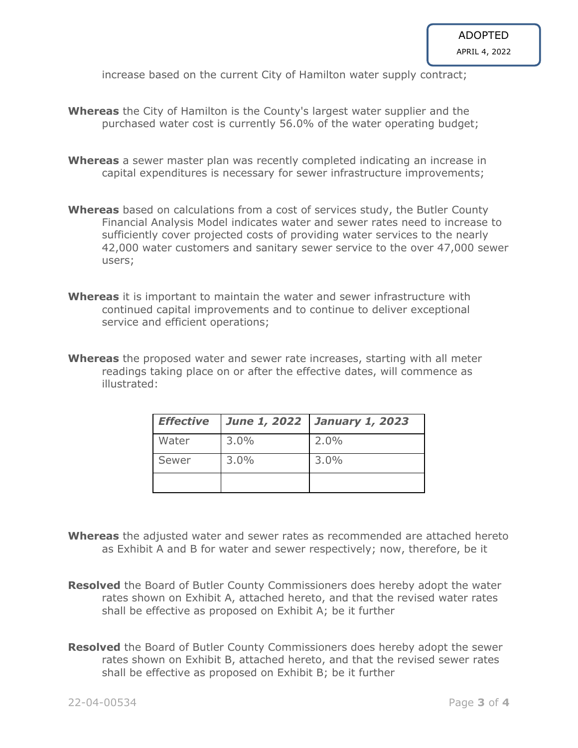increase based on the current City of Hamilton water supply contract;

- **Whereas** the City of Hamilton is the County's largest water supplier and the purchased water cost is currently 56.0% of the water operating budget;
- **Whereas** a sewer master plan was recently completed indicating an increase in capital expenditures is necessary for sewer infrastructure improvements;
- **Whereas** based on calculations from a cost of services study, the Butler County Financial Analysis Model indicates water and sewer rates need to increase to sufficiently cover projected costs of providing water services to the nearly 42,000 water customers and sanitary sewer service to the over 47,000 sewer users;
- **Whereas** it is important to maintain the water and sewer infrastructure with continued capital improvements and to continue to deliver exceptional service and efficient operations;
- **Whereas** the proposed water and sewer rate increases, starting with all meter readings taking place on or after the effective dates, will commence as illustrated:

| <b>Effective</b> |         | June 1, 2022   January 1, 2023 |
|------------------|---------|--------------------------------|
| Water            | $3.0\%$ | 2.0%                           |
| Sewer            | $3.0\%$ | 3.0%                           |
|                  |         |                                |

- **Whereas** the adjusted water and sewer rates as recommended are attached hereto as Exhibit A and B for water and sewer respectively; now, therefore, be it
- **Resolved** the Board of Butler County Commissioners does hereby adopt the water rates shown on Exhibit A, attached hereto, and that the revised water rates shall be effective as proposed on Exhibit A; be it further
- **Resolved** the Board of Butler County Commissioners does hereby adopt the sewer rates shown on Exhibit B, attached hereto, and that the revised sewer rates shall be effective as proposed on Exhibit B; be it further